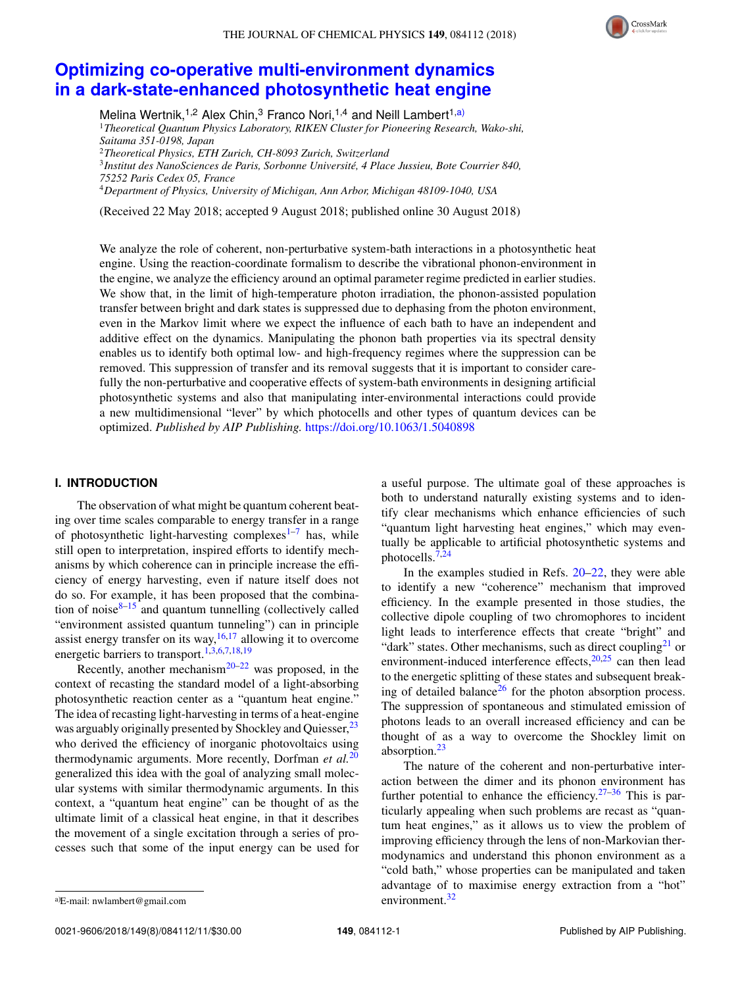

# **[Optimizing co-operative multi-environment dynamics](https://doi.org/10.1063/1.5040898) [in a dark-state-enhanced photosynthetic heat engine](https://doi.org/10.1063/1.5040898)**

Melina Wertnik,<sup>1,2</sup> Alex Chin,<sup>3</sup> Franco Nori,<sup>1,4</sup> and Neill Lambert<sup>1[,a\)](#page-0-0)</sup> <sup>1</sup>*Theoretical Quantum Physics Laboratory, RIKEN Cluster for Pioneering Research, Wako-shi, Saitama 351-0198, Japan* <sup>2</sup>*Theoretical Physics, ETH Zurich, CH-8093 Zurich, Switzerland* 3 *Institut des NanoSciences de Paris, Sorbonne Universite, 4 Place Jussieu, Bote Courrier 840, ´ 75252 Paris Cedex 05, France* <sup>4</sup>*Department of Physics, University of Michigan, Ann Arbor, Michigan 48109-1040, USA*

(Received 22 May 2018; accepted 9 August 2018; published online 30 August 2018)

We analyze the role of coherent, non-perturbative system-bath interactions in a photosynthetic heat engine. Using the reaction-coordinate formalism to describe the vibrational phonon-environment in the engine, we analyze the efficiency around an optimal parameter regime predicted in earlier studies. We show that, in the limit of high-temperature photon irradiation, the phonon-assisted population transfer between bright and dark states is suppressed due to dephasing from the photon environment, even in the Markov limit where we expect the influence of each bath to have an independent and additive effect on the dynamics. Manipulating the phonon bath properties via its spectral density enables us to identify both optimal low- and high-frequency regimes where the suppression can be removed. This suppression of transfer and its removal suggests that it is important to consider carefully the non-perturbative and cooperative effects of system-bath environments in designing artificial photosynthetic systems and also that manipulating inter-environmental interactions could provide a new multidimensional "lever" by which photocells and other types of quantum devices can be optimized. *Published by AIP Publishing.* <https://doi.org/10.1063/1.5040898>

# **I. INTRODUCTION**

The observation of what might be quantum coherent beating over time scales comparable to energy transfer in a range of photosynthetic light-harvesting complexes $1-7$  $1-7$  has, while still open to interpretation, inspired efforts to identify mechanisms by which coherence can in principle increase the efficiency of energy harvesting, even if nature itself does not do so. For example, it has been proposed that the combination of noise $8-15$  $8-15$  and quantum tunnelling (collectively called "environment assisted quantum tunneling") can in principle assist energy transfer on its way,  $16,17$  $16,17$  allowing it to overcome energetic barriers to transport.<sup>[1](#page-9-0)[,3,](#page-9-6)[6,](#page-9-7)[7,](#page-9-1)[18,](#page-9-8)[19](#page-9-9)</sup>

Recently, another mechanism<sup>[20–](#page-9-10)[22](#page-9-11)</sup> was proposed, in the context of recasting the standard model of a light-absorbing photosynthetic reaction center as a "quantum heat engine." The idea of recasting light-harvesting in terms of a heat-engine was arguably originally presented by Shockley and Quiesser,<sup>[23](#page-9-12)</sup> who derived the efficiency of inorganic photovoltaics using thermodynamic arguments. More recently, Dorfman *et al.*[20](#page-9-10) generalized this idea with the goal of analyzing small molecular systems with similar thermodynamic arguments. In this context, a "quantum heat engine" can be thought of as the ultimate limit of a classical heat engine, in that it describes the movement of a single excitation through a series of processes such that some of the input energy can be used for a useful purpose. The ultimate goal of these approaches is both to understand naturally existing systems and to identify clear mechanisms which enhance efficiencies of such "quantum light harvesting heat engines," which may eventually be applicable to artificial photosynthetic systems and photocells.<sup>[7](#page-9-1)[,24](#page-9-13)</sup>

In the examples studied in Refs. [20–](#page-9-10)[22,](#page-9-11) they were able to identify a new "coherence" mechanism that improved efficiency. In the example presented in those studies, the collective dipole coupling of two chromophores to incident light leads to interference effects that create "bright" and "dark" states. Other mechanisms, such as direct coupling<sup>[21](#page-9-14)</sup> or environment-induced interference effects, $20,25$  $20,25$  can then lead to the energetic splitting of these states and subsequent breaking of detailed balance $^{26}$  $^{26}$  $^{26}$  for the photon absorption process. The suppression of spontaneous and stimulated emission of photons leads to an overall increased efficiency and can be thought of as a way to overcome the Shockley limit on absorption.<sup>[23](#page-9-12)</sup>

The nature of the coherent and non-perturbative interaction between the dimer and its phonon environment has further potential to enhance the efficiency.<sup>[27](#page-9-17)[–36](#page-10-0)</sup> This is particularly appealing when such problems are recast as "quantum heat engines," as it allows us to view the problem of improving efficiency through the lens of non-Markovian thermodynamics and understand this phonon environment as a "cold bath," whose properties can be manipulated and taken advantage of to maximise energy extraction from a "hot" environment.<sup>[32](#page-10-1)</sup>

<span id="page-0-0"></span>a)E-mail: [nwlambert@gmail.com](mailto:nwlambert@gmail.com)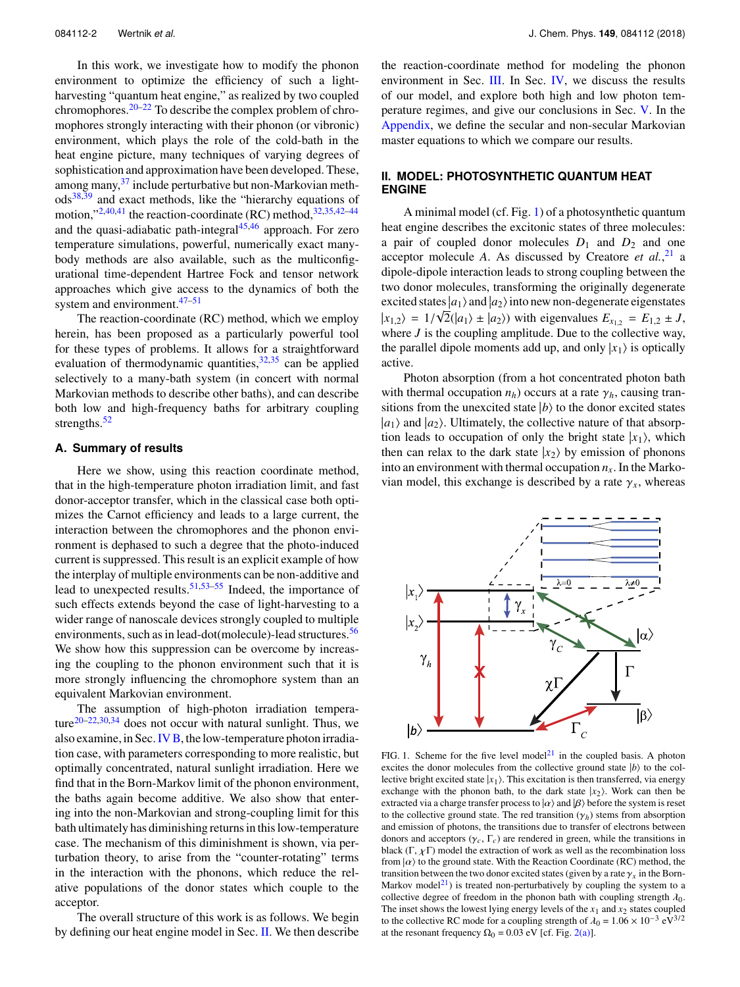In this work, we investigate how to modify the phonon environment to optimize the efficiency of such a lightharvesting "quantum heat engine," as realized by two coupled chromophores. $20-22$  $20-22$  To describe the complex problem of chromophores strongly interacting with their phonon (or vibronic) environment, which plays the role of the cold-bath in the heat engine picture, many techniques of varying degrees of sophistication and approximation have been developed. These, among many,<sup>[37](#page-10-2)</sup> include perturbative but non-Markovian meth- $ods<sup>38,39</sup>$  $ods<sup>38,39</sup>$  $ods<sup>38,39</sup>$  $ods<sup>38,39</sup>$  and exact methods, like the "hierarchy equations of motion," $2,40,41$  $2,40,41$  $2,40,41$  the reaction-coordinate (RC) method,  $32,35,42-44$  $32,35,42-44$  $32,35,42-44$  $32,35,42-44$ and the quasi-adiabatic path-integral $45,46$  $45,46$  approach. For zero temperature simulations, powerful, numerically exact manybody methods are also available, such as the multiconfigurational time-dependent Hartree Fock and tensor network approaches which give access to the dynamics of both the system and environment.[47–](#page-10-12)[51](#page-10-13)

The reaction-coordinate (RC) method, which we employ herein, has been proposed as a particularly powerful tool for these types of problems. It allows for a straightforward evaluation of thermodynamic quantities,  $32,35$  $32,35$  can be applied selectively to a many-bath system (in concert with normal Markovian methods to describe other baths), and can describe both low and high-frequency baths for arbitrary coupling strengths.<sup>[52](#page-10-14)</sup>

# **A. Summary of results**

Here we show, using this reaction coordinate method, that in the high-temperature photon irradiation limit, and fast donor-acceptor transfer, which in the classical case both optimizes the Carnot efficiency and leads to a large current, the interaction between the chromophores and the phonon environment is dephased to such a degree that the photo-induced current is suppressed. This result is an explicit example of how the interplay of multiple environments can be non-additive and lead to unexpected results.[51](#page-10-13)[,53–](#page-10-15)[55](#page-10-16) Indeed, the importance of such effects extends beyond the case of light-harvesting to a wider range of nanoscale devices strongly coupled to multiple environments, such as in lead-dot(molecule)-lead structures.<sup>[56](#page-10-17)</sup> We show how this suppression can be overcome by increasing the coupling to the phonon environment such that it is more strongly influencing the chromophore system than an equivalent Markovian environment.

The assumption of high-photon irradiation tempera- $ture^{20-22,30,34}$  $ture^{20-22,30,34}$  $ture^{20-22,30,34}$  $ture^{20-22,30,34}$  $ture^{20-22,30,34}$  does not occur with natural sunlight. Thus, we also examine, in Sec.[IV B,](#page-6-0) the low-temperature photon irradiation case, with parameters corresponding to more realistic, but optimally concentrated, natural sunlight irradiation. Here we find that in the Born-Markov limit of the phonon environment, the baths again become additive. We also show that entering into the non-Markovian and strong-coupling limit for this bath ultimately has diminishing returns in this low-temperature case. The mechanism of this diminishment is shown, via perturbation theory, to arise from the "counter-rotating" terms in the interaction with the phonons, which reduce the relative populations of the donor states which couple to the acceptor.

The overall structure of this work is as follows. We begin by defining our heat engine model in Sec. [II.](#page-1-0) We then describe

the reaction-coordinate method for modeling the phonon environment in Sec. [III.](#page-2-0) In Sec. [IV,](#page-4-0) we discuss the results of our model, and explore both high and low photon temperature regimes, and give our conclusions in Sec. [V.](#page-8-0) In the [Appendix,](#page-9-19) we define the secular and non-secular Markovian master equations to which we compare our results.

# <span id="page-1-0"></span>**II. MODEL: PHOTOSYNTHETIC QUANTUM HEAT ENGINE**

A minimal model (cf. Fig. [1\)](#page-1-1) of a photosynthetic quantum heat engine describes the excitonic states of three molecules: a pair of coupled donor molecules  $D_1$  and  $D_2$  and one acceptor molecule *A*. As discussed by Creatore *et al.*, [21](#page-9-14) a dipole-dipole interaction leads to strong coupling between the two donor molecules, transforming the originally degenerate  $\alpha$  is used increased, and  $|a_2\rangle$  into new non-degenerate eigenstates  $|x_{1,2}\rangle = 1/\sqrt{2}(|a_1\rangle \pm |a_2\rangle)$  with eigenvalues  $E_{x_{1,2}} = E_{1,2} \pm J$ , where  $J$  is the coupling amplitude. Due to the collective way, the parallel dipole moments add up, and only  $|x_1\rangle$  is optically active.

Photon absorption (from a hot concentrated photon bath with thermal occupation  $n_h$ ) occurs at a rate  $\gamma_h$ , causing tran- $\lim_{n \to \infty} \frac{\text{arctan} \log n}{\text{arctan} \log n}$  of the donor excited states  $|a_1\rangle$  and  $|a_2\rangle$ . Ultimately, the collective nature of that absorption leads to occupation of only the bright state  $|x_1\rangle$ , which then can relax to the dark state  $|x_2\rangle$  by emission of phonons into an environment with thermal occupation  $n<sub>x</sub>$ . In the Markovian model, this exchange is described by a rate  $\gamma_x$ , whereas

<span id="page-1-1"></span>

FIG. 1. Scheme for the five level model $^{21}$  $^{21}$  $^{21}$  in the coupled basis. A photon excites the donor molecules from the collective ground state  $|b\rangle$  to the collective bright excited state  $|x_1\rangle$ . This excitation is then transferred, via energy exchange with the phonon bath, to the dark state  $|x_2\rangle$ . Work can then be Extracted via a charge transfer process to  $\vert \alpha \rangle$  and  $\vert \beta \rangle$  before the system is reset<br>to the collective ground state. The red transition  $\langle \alpha \rangle$  is denotes from absorption to the collective ground state. The red transition  $(\gamma_h)$  stems from absorption and emission of photons, the transitions due to transfer of electrons between donors and acceptors  $(\gamma_c, \Gamma_c)$  are rendered in green, while the transitions in black  $(\Gamma, \chi \Gamma)$  model the extraction of work as well as the recombination loss  $\lim_{\alpha \to \infty} |\alpha\rangle$  to the ground state. With the Reaction Coordinate (RC) method, the transition between the two donor excited states (given by a rate  $\alpha$ ) in the Born. transition between the two donor excited states (given by a rate  $\gamma_x$  in the Born-Markov model $^{21}$  $^{21}$  $^{21}$ ) is treated non-perturbatively by coupling the system to a collective degree of freedom in the phonon bath with coupling strength  $\lambda_0$ . The inset shows the lowest lying energy levels of the  $x_1$  and  $x_2$  states coupled to the collective RC mode for a coupling strength of  $\lambda_0 = 1.06 \times 10^{-3} \text{ eV}^{3/2}$ <br>at the resonant frequency  $\Omega_0 = 0.03 \text{ eV}$  [cf. Eig. 2(a)] at the resonant frequency  $\Omega_0 = 0.03$  eV [cf. Fig. [2\(a\)\]](#page-5-0).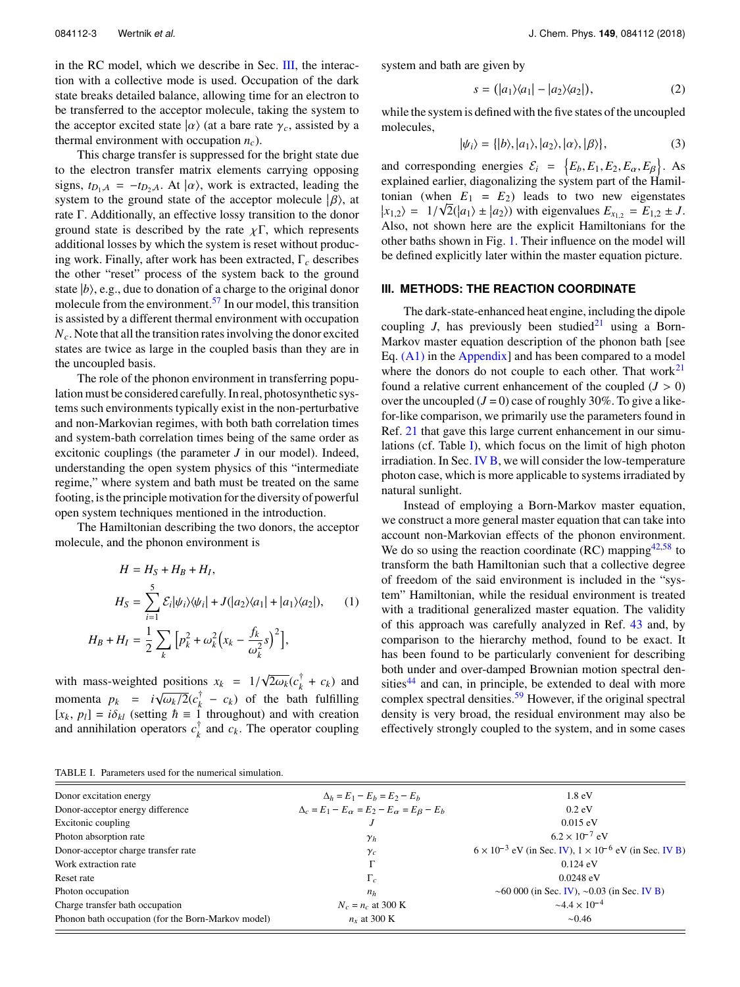in the RC model, which we describe in Sec. [III,](#page-2-0) the interaction with a collective mode is used. Occupation of the dark state breaks detailed balance, allowing time for an electron to be transferred to the acceptor molecule, taking the system to the acceptor excited state  $|\alpha\rangle$  (at a bare rate  $\gamma_c$ , assisted by a thermal environment with occupation *n*) thermal environment with occupation *nc*).

This charge transfer is suppressed for the bright state due to the electron transfer matrix elements carrying opposing signs,  $t_{D_1,A} = -t_{D_2,A}$ . At  $|\alpha\rangle$ , work is extracted, leading the system to the ground state of the accentor molecule  $|\beta\rangle$  at system to the ground state of the acceptor molecule  $|\beta\rangle$ , at rate  $\Gamma$ . Additionally, an effective lossy transition to the donor rate Γ. Additionally, an effective lossy transition to the donor ground state is described by the rate  $\chi \Gamma$ , which represents additional losses by which the system is reset without producing work. Finally, after work has been extracted, Γ*<sup>c</sup>* describes the other "reset" process of the system back to the ground state  $|b\rangle$ , e.g., due to donation of a charge to the original donor molecule from the environment.<sup>[57](#page-10-20)</sup> In our model, this transition is assisted by a different thermal environment with occupation *Nc*. Note that all the transition rates involving the donor excited states are twice as large in the coupled basis than they are in the uncoupled basis.

The role of the phonon environment in transferring population must be considered carefully. In real, photosynthetic systems such environments typically exist in the non-perturbative and non-Markovian regimes, with both bath correlation times and system-bath correlation times being of the same order as excitonic couplings (the parameter *J* in our model). Indeed, understanding the open system physics of this "intermediate regime," where system and bath must be treated on the same footing, is the principle motivation for the diversity of powerful open system techniques mentioned in the introduction.

The Hamiltonian describing the two donors, the acceptor molecule, and the phonon environment is

$$
H = H_S + H_B + H_I,
$$
  
\n
$$
H_S = \sum_{i=1}^{5} \mathcal{E}_i |\psi_i\rangle\langle\psi_i| + J(|a_2\rangle\langle a_1| + |a_1\rangle\langle a_2|),
$$
 (1)  
\n
$$
H_B + H_I = \frac{1}{2} \sum_{k} \left[ p_k^2 + \omega_k^2 \left( x_k - \frac{f_k}{\omega_k^2} s \right)^2 \right],
$$

with mass-weighted positions  $x_k = 1/\sqrt{2\pi}$ √  $\overline{2\omega_k}(c_k^{\dagger})$ *k*  $x_k = 1/\sqrt{2\omega_k}(c_k^{\dagger} + c_k)$  and momenta  $p_k = i\sqrt{\omega_k/2} (c_k^{\dagger})$ <br>  $[x_k, p_k] = i\delta_{kk}$  (setting  $\hbar = 1$ )  $\bar{k}$  –  $c_k$ ) of the bath fulfilling  $[x_k, p_l] = i\delta_{kl}$  (setting  $\hbar \equiv 1$  throughout) and with creation and annihilation operators  $c_k^{\dagger}$  $\int_{k}^{\tau}$  and  $c_k$ . The operator coupling system and bath are given by

$$
s = (|a_1\rangle\langle a_1| - |a_2\rangle\langle a_2|), \tag{2}
$$

while the system is defined with the five states of the uncoupled molecules,

$$
|\psi_i\rangle = \{|b\rangle, |a_1\rangle, |a_2\rangle, |\alpha\rangle, |\beta\rangle\},\tag{3}
$$

and corresponding energies  $\mathcal{E}_i = \{E_b, E_1, E_2, E_\alpha, E_\beta\}$ . As explained earlier, diagonalizing the system part of the Hamiltonian (when  $E_1 = E_2$ ) leads to two new eigenstates  $|x_{1,2}\rangle = 1/\sqrt{2}(|a_1\rangle \pm |a_2\rangle)$  with eigenvalues  $E_{x_{1,2}} = E_{1,2} \pm J$ .<br>Also not shown here are the explicit Hamiltonians for the Also, not shown here are the explicit Hamiltonians for the other baths shown in Fig. [1.](#page-1-1) Their influence on the model will be defined explicitly later within the master equation picture.

# <span id="page-2-0"></span>**III. METHODS: THE REACTION COORDINATE**

The dark-state-enhanced heat engine, including the dipole coupling *J*, has previously been studied<sup>[21](#page-9-14)</sup> using a Born-Markov master equation description of the phonon bath [see Eq. [\(A1\)](#page-9-20) in the [Appendix\]](#page-9-19) and has been compared to a model where the donors do not couple to each other. That work $^{21}$  $^{21}$  $^{21}$ found a relative current enhancement of the coupled  $(J > 0)$ over the uncoupled  $(J = 0)$  case of roughly 30%. To give a likefor-like comparison, we primarily use the parameters found in Ref. [21](#page-9-14) that gave this large current enhancement in our simulations (cf. Table [I\)](#page-2-1), which focus on the limit of high photon irradiation. In Sec. IV  $\overline{B}$ , we will consider the low-temperature photon case, which is more applicable to systems irradiated by natural sunlight.

<span id="page-2-2"></span>Instead of employing a Born-Markov master equation, we construct a more general master equation that can take into account non-Markovian effects of the phonon environment. We do so using the reaction coordinate (RC) mapping  $42,58$  $42,58$  to transform the bath Hamiltonian such that a collective degree of freedom of the said environment is included in the "system" Hamiltonian, while the residual environment is treated with a traditional generalized master equation. The validity of this approach was carefully analyzed in Ref. [43](#page-10-22) and, by comparison to the hierarchy method, found to be exact. It has been found to be particularly convenient for describing both under and over-damped Brownian motion spectral densities $44$  and can, in principle, be extended to deal with more complex spectral densities.<sup>[59](#page-10-23)</sup> However, if the original spectral density is very broad, the residual environment may also be effectively strongly coupled to the system, and in some cases

<span id="page-2-1"></span>TABLE I. Parameters used for the numerical simulation.

| TABLE I. Parameters used for the numerical simulation. |                                                              |                                                                          |
|--------------------------------------------------------|--------------------------------------------------------------|--------------------------------------------------------------------------|
| Donor excitation energy                                | $\Delta_h = E_1 - E_b = E_2 - E_b$                           | 1.8 eV                                                                   |
| Donor-acceptor energy difference                       | $\Delta_c = E_1 - E_\alpha = E_2 - E_\alpha = E_\beta - E_b$ | $0.2$ eV                                                                 |
| Excitonic coupling                                     |                                                              | $0.015$ eV                                                               |
| Photon absorption rate                                 | $\gamma_h$                                                   | $6.2 \times 10^{-7}$ eV                                                  |
| Donor-acceptor charge transfer rate                    | $\gamma_c$                                                   | $6 \times 10^{-3}$ eV (in Sec. IV), $1 \times 10^{-6}$ eV (in Sec. IV B) |
| Work extraction rate                                   |                                                              | $0.124 \text{ eV}$                                                       |
| Reset rate                                             | $\Gamma_c$                                                   | $0.0248$ eV                                                              |
| Photon occupation                                      | n <sub>h</sub>                                               | ~60 000 (in Sec. IV), ~0.03 (in Sec. IV B)                               |
| Charge transfer bath occupation                        | $N_c = n_c$ at 300 K                                         | $\sim$ 4.4 $\times$ 10 <sup>-4</sup>                                     |
| Phonon bath occupation (for the Born-Markov model)     | $n_r$ at 300 K                                               | $\sim 0.46$                                                              |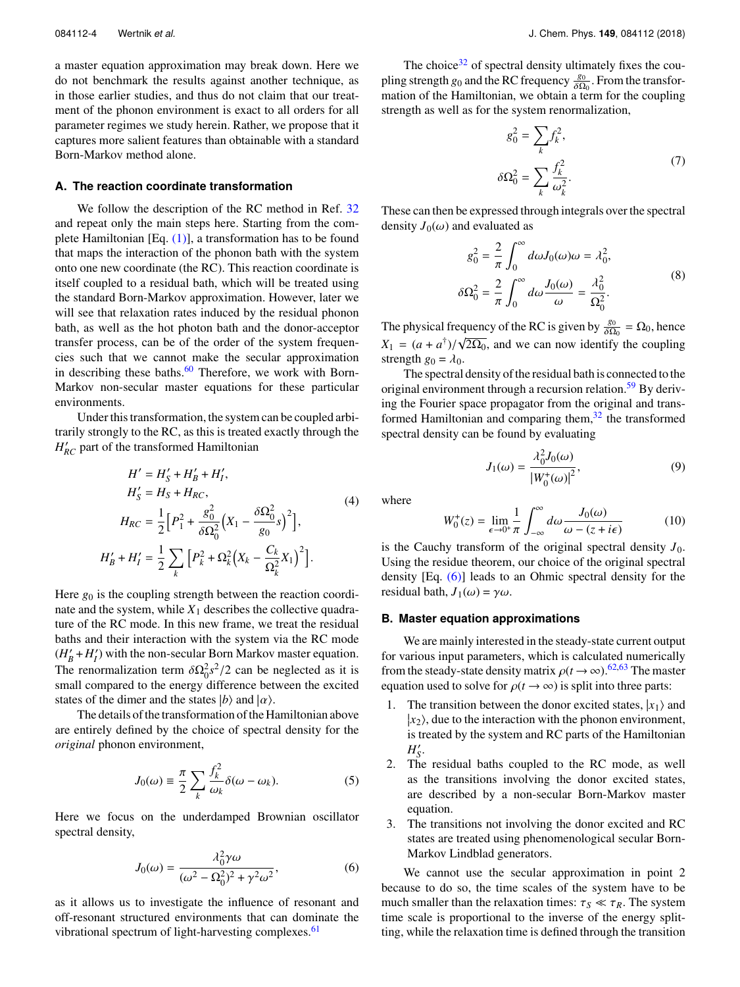a master equation approximation may break down. Here we do not benchmark the results against another technique, as in those earlier studies, and thus do not claim that our treatment of the phonon environment is exact to all orders for all parameter regimes we study herein. Rather, we propose that it captures more salient features than obtainable with a standard Born-Markov method alone.

## **A. The reaction coordinate transformation**

We follow the description of the RC method in Ref. [32](#page-10-1) and repeat only the main steps here. Starting from the complete Hamiltonian [Eq.  $(1)$ ], a transformation has to be found that maps the interaction of the phonon bath with the system onto one new coordinate (the RC). This reaction coordinate is itself coupled to a residual bath, which will be treated using the standard Born-Markov approximation. However, later we will see that relaxation rates induced by the residual phonon bath, as well as the hot photon bath and the donor-acceptor transfer process, can be of the order of the system frequencies such that we cannot make the secular approximation in describing these baths. $60$  Therefore, we work with Born-Markov non-secular master equations for these particular environments.

Under this transformation, the system can be coupled arbitrarily strongly to the RC, as this is treated exactly through the  $H'_{RC}$  part of the transformed Hamiltonian

$$
H' = H'_{S} + H'_{B} + H'_{I},
$$
  
\n
$$
H'_{S} = H_{S} + H_{RC},
$$
  
\n
$$
H_{RC} = \frac{1}{2} \Big[ P_{1}^{2} + \frac{g_{0}^{2}}{\delta \Omega_{0}^{2}} \Big( X_{1} - \frac{\delta \Omega_{0}^{2}}{g_{0}} s \Big)^{2} \Big],
$$
  
\n
$$
H'_{B} + H'_{I} = \frac{1}{2} \sum_{k} \Big[ P_{k}^{2} + \Omega_{k}^{2} \Big( X_{k} - \frac{C_{k}}{\Omega_{k}^{2}} X_{1} \Big)^{2} \Big].
$$
  
\n(4)

Here  $g_0$  is the coupling strength between the reaction coordinate and the system, while  $X_1$  describes the collective quadrature of the RC mode. In this new frame, we treat the residual baths and their interaction with the system via the RC mode  $(H'_{B} + H'_{I})$  with the non-secular Born Markov master equation. The renormalization term  $\delta \Omega_0^2 s^2/2$  can be neglected as it is<br>small compared to the energy difference between the excited small compared to the energy difference between the excited states of the dimer and the states  $|b\rangle$  and  $|\alpha\rangle$ .<br>The details of the transformation of the H

The details of the transformation of the Hamiltonian above are entirely defined by the choice of spectral density for the *original* phonon environment,

$$
J_0(\omega) \equiv \frac{\pi}{2} \sum_k \frac{f_k^2}{\omega_k} \delta(\omega - \omega_k).
$$
 (5)

Here we focus on the underdamped Brownian oscillator spectral density,

<span id="page-3-0"></span>
$$
J_0(\omega) = \frac{\lambda_0^2 \gamma \omega}{(\omega^2 - \Omega_0^2)^2 + \gamma^2 \omega^2},\tag{6}
$$

as it allows us to investigate the influence of resonant and off-resonant structured environments that can dominate the vibrational spectrum of light-harvesting complexes.<sup>[61](#page-10-25)</sup>

The choice $32$  of spectral density ultimately fixes the coupling strength  $g_0$  and the RC frequency  $\frac{g_0}{\delta\Omega_0}$ . From the transfor- $\lim_{\delta \Omega_0}$  suchgin g<sub>0</sub> and the KC ricquency  $\frac{\delta \Omega_0}{\delta \Omega_0}$ . Trom the transformation of the Hamiltonian, we obtain a term for the coupling strength as well as for the system renormalization,

$$
g_0^2 = \sum_k f_k^2,
$$
  

$$
\delta \Omega_0^2 = \sum_k \frac{f_k^2}{\omega_k^2}.
$$
 (7)

These can then be expressed through integrals over the spectral density  $J_0(\omega)$  and evaluated as

$$
g_0^2 = \frac{2}{\pi} \int_0^\infty d\omega J_0(\omega) \omega = \lambda_0^2,
$$
  

$$
\delta \Omega_0^2 = \frac{2}{\pi} \int_0^\infty d\omega \frac{J_0(\omega)}{\omega} = \frac{\lambda_0^2}{\Omega_0^2}.
$$
 (8)

The physical frequency of the RC is given by  $\frac{g_0}{\delta Q}$ equency of the RC is given by  $\frac{g_0}{\delta \Omega_0} = \Omega_0$ , hence  $X_1 = (a + a^{\dagger})/\sqrt{2\Omega_0}$ , and we can now identify the coupling strength  $a_0 = \lambda_0$ strength  $g_0 = \lambda_0$ .

The spectral density of the residual bath is connected to the original environment through a recursion relation.<sup>[59](#page-10-23)</sup> By deriving the Fourier space propagator from the original and transformed Hamiltonian and comparing them, $32$  the transformed spectral density can be found by evaluating

$$
J_1(\omega) = \frac{\lambda_0^2 J_0(\omega)}{|W_0^+(\omega)|^2},
$$
\n(9)

<span id="page-3-1"></span>where

$$
W_0^+(z) = \lim_{\epsilon \to 0^+} \frac{1}{\pi} \int_{-\infty}^{\infty} d\omega \frac{J_0(\omega)}{\omega - (z + i\epsilon)} \tag{10}
$$

is the Cauchy transform of the original spectral density  $J_0$ . Using the residue theorem, our choice of the original spectral density [Eq. [\(6\)\]](#page-3-0) leads to an Ohmic spectral density for the residual bath,  $J_1(\omega) = \gamma \omega$ .

## **B. Master equation approximations**

We are mainly interested in the steady-state current output for various input parameters, which is calculated numerically from the steady-state density matrix  $\rho(t \to \infty)$ .<sup>[62](#page-10-26)[,63](#page-10-27)</sup> The master equation used to solve for  $\rho(t \to \infty)$  is split into three parts:

- 1. The transition between the donor excited states,  $|x_1\rangle$  and *x*<sub>2</sub>), due to the interaction with the phonon environment, is treated by the system and RC parts of the Hamiltonian  $H'_{S}$ .
- 2. The residual baths coupled to the RC mode, as well as the transitions involving the donor excited states, are described by a non-secular Born-Markov master equation.
- 3. The transitions not involving the donor excited and RC states are treated using phenomenological secular Born-Markov Lindblad generators.

We cannot use the secular approximation in point 2 because to do so, the time scales of the system have to be much smaller than the relaxation times:  $\tau_S \ll \tau_R$ . The system time scale is proportional to the inverse of the energy splitting, while the relaxation time is defined through the transition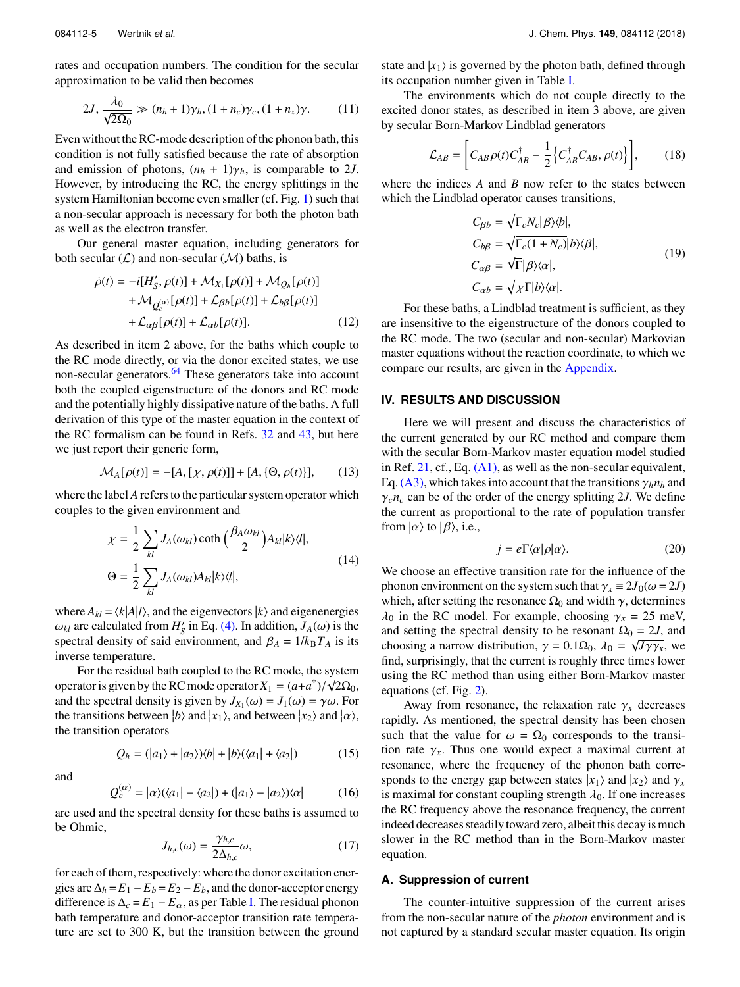rates and occupation numbers. The condition for the secular approximation to be valid then becomes

$$
2J, \frac{\lambda_0}{\sqrt{2\Omega_0}} \gg (n_h + 1)\gamma_h, (1 + n_c)\gamma_c, (1 + n_x)\gamma. \tag{11}
$$

Even without the RC-mode description of the phonon bath, this condition is not fully satisfied because the rate of absorption and emission of photons,  $(n_h + 1)\gamma_h$ , is comparable to 2*J*. However, by introducing the RC, the energy splittings in the system Hamiltonian become even smaller (cf. Fig. [1\)](#page-1-1) such that a non-secular approach is necessary for both the photon bath as well as the electron transfer.

Our general master equation, including generators for both secular  $(L)$  and non-secular  $(M)$  baths, is

$$
\dot{\rho}(t) = -i[H'_{S}, \rho(t)] + \mathcal{M}_{X_{1}}[\rho(t)] + \mathcal{M}_{Q_{h}}[\rho(t)]
$$
  
+  $\mathcal{M}_{Q_{c}^{(\alpha)}}[\rho(t)] + \mathcal{L}_{\beta b}[\rho(t)] + \mathcal{L}_{b\beta}[\rho(t)]$   
+  $\mathcal{L}_{\alpha\beta}[\rho(t)] + \mathcal{L}_{\alpha b}[\rho(t)].$  (12)

As described in item 2 above, for the baths which couple to the RC mode directly, or via the donor excited states, we use non-secular generators.[64](#page-10-28) These generators take into account both the coupled eigenstructure of the donors and RC mode and the potentially highly dissipative nature of the baths. A full derivation of this type of the master equation in the context of the RC formalism can be found in Refs. [32](#page-10-1) and [43,](#page-10-22) but here we just report their generic form,

$$
\mathcal{M}_A[\rho(t)] = -[A, [\chi, \rho(t)]] + [A, \{\Theta, \rho(t)\}], \qquad (13)
$$

where the label *A* refers to the particular system operator which couples to the given environment and

<span id="page-4-4"></span>
$$
\chi = \frac{1}{2} \sum_{kl} J_A(\omega_{kl}) \coth\left(\frac{\beta_A \omega_{kl}}{2} \right) A_{kl} |k \rangle \langle l|,
$$
  
\n
$$
\Theta = \frac{1}{2} \sum_{kl} J_A(\omega_{kl}) A_{kl} |k \rangle \langle l|,
$$
\n(14)

where  $A_{kl} = \langle k | A | l \rangle$ , and the eigenvectors  $| k \rangle$  and eigenenergies  $\omega_{kl}$  are calculated from  $H'_{\mathcal{S}}$  in Eq. [\(4\).](#page-3-1) In addition,  $J_A(\omega)$  is the spectral density of said environment, and  $\beta_{\mathcal{S}} = 1/k_B T_{\mathcal{S}}$  is its spectral density of said environment, and  $\beta_A = 1/k_B T_A$  is its inverse temperature.

For the residual bath coupled to the RC mode, the system operator is given by the RC mode operator  $X_1 = (a+a^{\dagger})/\sqrt{2\Omega_0}$ ,<br>and the spectral density is given by  $I_X(\omega) = I_Y(\omega) = \gamma(\omega)$ . For and the spectral density is given by  $J_{X_1}(\omega) = J_1(\omega) = \gamma \omega$ . For the transitions between  $|h\rangle$  and  $|x\rangle$  and het ween  $|x\rangle$  and  $|\alpha\rangle$ the transitions between  $|b\rangle$  and  $|x_1\rangle$ , and between  $|x_2\rangle$  and  $|\alpha\rangle$ ,<br>the transition operators the transition operators

$$
Q_h = (|a_1\rangle + |a_2\rangle)\langle b| + |b\rangle(\langle a_1| + \langle a_2|)
$$
 (15)

and

$$
Q_c^{(\alpha)} = |\alpha\rangle(\langle a_1| - \langle a_2|) + (|a_1\rangle - |a_2\rangle)\langle \alpha|
$$
 (16)

are used and the spectral density for these baths is assumed to be Ohmic,

$$
J_{h,c}(\omega) = \frac{\gamma_{h,c}}{2\Delta_{h,c}}\omega,\tag{17}
$$

for each of them, respectively: where the donor excitation energies are  $\Delta_h = E_1 - E_b = E_2 - E_b$ , and the donor-acceptor energy difference is  $\Delta_c = E_1 - E_\alpha$ , as per Table [I.](#page-2-1) The residual phonon bath temperature and donor-acceptor transition rate temperature are set to 300 K, but the transition between the ground

state and  $|x_1\rangle$  is governed by the photon bath, defined through its occupation number given in Table [I.](#page-2-1)

The environments which do not couple directly to the excited donor states, as described in item 3 above, are given by secular Born-Markov Lindblad generators " #

$$
\mathcal{L}_{AB} = \left[ C_{AB} \rho(t) C_{AB}^{\dagger} - \frac{1}{2} \left\{ C_{AB}^{\dagger} C_{AB}, \rho(t) \right\} \right],\tag{18}
$$

where the indices *A* and *B* now refer to the states between which the Lindblad operator causes transitions,

<span id="page-4-3"></span>
$$
C_{\beta b} = \sqrt{\Gamma_c N_c} |\beta\rangle\langle b|,
$$
  
\n
$$
C_{b\beta} = \sqrt{\Gamma_c (1 + N_c)} |b\rangle\langle\beta|,
$$
  
\n
$$
C_{\alpha\beta} = \sqrt{\Gamma} |\beta\rangle\langle\alpha|,
$$
  
\n
$$
C_{\alpha b} = \sqrt{\chi \Gamma} |b\rangle\langle\alpha|.
$$
\n(19)

<span id="page-4-2"></span>For these baths, a Lindblad treatment is sufficient, as they are insensitive to the eigenstructure of the donors coupled to the RC mode. The two (secular and non-secular) Markovian master equations without the reaction coordinate, to which we compare our results, are given in the [Appendix.](#page-9-19)

# <span id="page-4-0"></span>**IV. RESULTS AND DISCUSSION**

Here we will present and discuss the characteristics of the current generated by our RC method and compare them with the secular Born-Markov master equation model studied in Ref. [21,](#page-9-14) cf., Eq. [\(A1\),](#page-9-20) as well as the non-secular equivalent, Eq. [\(A3\),](#page-9-21) which takes into account that the transitions  $\gamma_h n_h$  and  $\gamma_c n_c$  can be of the order of the energy splitting 2*J*. We define the current as proportional to the rate of population transfer from  $|\alpha\rangle$  to  $|\beta\rangle$ , i.e.,

$$
j = e\Gamma \langle \alpha | \rho | \alpha \rangle. \tag{20}
$$

We choose an effective transition rate for the influence of the phonon environment on the system such that  $\gamma_x \equiv 2J_0(\omega = 2J)$ which, after setting the resonance  $\Omega_0$  and width  $\gamma$ , determines  $\lambda_0$  in the RC model. For example, choosing  $\gamma_x = 25$  meV, and setting the spectral density to be resonant  $\Omega_0 = 2J$ , and choosing a narrow distribution,  $\gamma = 0.1 \Omega_0$ ,  $\lambda_0 = \sqrt{J \gamma \gamma_x}$ , we find surprisingly that the current is roughly three times lower find, surprisingly, that the current is roughly three times lower using the RC method than using either Born-Markov master equations (cf. Fig. [2\)](#page-5-0).

Away from resonance, the relaxation rate  $\gamma_x$  decreases rapidly. As mentioned, the spectral density has been chosen such that the value for  $\omega = \Omega_0$  corresponds to the transition rate  $\gamma_x$ . Thus one would expect a maximal current at resonance, where the frequency of the phonon bath corresponds to the energy gap between states  $|x_1\rangle$  and  $|x_2\rangle$  and  $\gamma_x$ <br>is maximal for constant counling strength  $\lambda_0$ . If one increases is maximal for constant coupling strength  $\lambda_0$ . If one increases the RC frequency above the resonance frequency, the current indeed decreases steadily toward zero, albeit this decay is much slower in the RC method than in the Born-Markov master equation.

#### <span id="page-4-1"></span>**A. Suppression of current**

The counter-intuitive suppression of the current arises from the non-secular nature of the *photon* environment and is not captured by a standard secular master equation. Its origin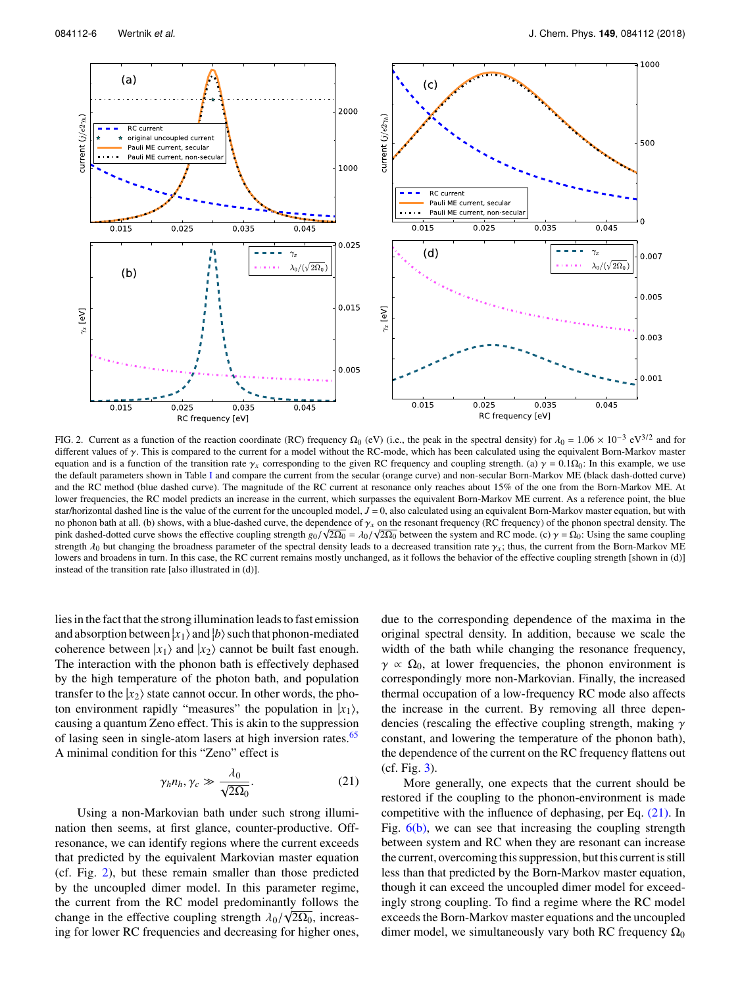<span id="page-5-0"></span>

FIG. 2. Current as a function of the reaction coordinate (RC) frequency  $\Omega_0$  (eV) (i.e., the peak in the spectral density) for  $\lambda_0 = 1.06 \times 10^{-3} \text{ eV}^{3/2}$  and for different values of  $\alpha$ . This is compared to the cu different values of γ. This is compared to the current for a model without the RC-mode, which has been calculated using the equivalent Born-Markov master equation and is a function of the transition rate  $\gamma_x$  corresponding to the given RC frequency and coupling strength. (a)  $\gamma = 0.1\Omega_0$ : In this example, we use the default parameters shown in Table [I](#page-2-1) and compare the current from the secular (orange curve) and non-secular Born-Markov ME (black dash-dotted curve) and the RC method (blue dashed curve). The magnitude of the RC current at resonance only reaches about 15% of the one from the Born-Markov ME. At lower frequencies, the RC model predicts an increase in the current, which surpasses the equivalent Born-Markov ME current. As a reference point, the blue star/horizontal dashed line is the value of the current for the uncoupled model,  $J = 0$ , also calculated using an equivalent Born-Markov master equation, but with no phonon bath at all. (b) shows, with a blue-dashed curve, the dependence of  $\gamma_x$  on the resonant frequency (RC frequency) of the phonon spectral density. The phonon spectral density. The phonon spectral density. The ph pink dashed-dotted curve shows the effective coupling strength  $g_0/\sqrt{2\Omega_0} = \lambda_0/\sqrt{2\Omega_0}$  between the system and RC mode. (c)  $\gamma = \Omega_0$ : Using the same coupling the system of the system of the system of the system of th strength  $\lambda_0$  but changing the broadness parameter of the spectral density leads to a decreased transition rate  $\gamma_x$ ; thus, the current from the Born-Markov ME lowers and broadens in turn. In this case, the RC current remains mostly unchanged, as it follows the behavior of the effective coupling strength [shown in (d)] instead of the transition rate [also illustrated in (d)].

lies in the fact that the strong illumination leads to fast emission and absorption between  $|x_1\rangle$  and  $|b\rangle$  such that phonon-mediated  $\lim_{k \to \infty} \frac{d}{dx}$  cannot be built fast enough. The interaction with the phonon bath is effectively dephased by the high temperature of the photon bath, and population  $\frac{1}{2}$  is the mean temperature of the photon bails, and preparation transfer to the  $|x_2\rangle$  state cannot occur. In other words, the photon environment rapidly "measures" the population in  $|x_1\rangle$ , causing a quantum Zeno effect. This is akin to the suppression of lasing seen in single-atom lasers at high inversion rates.<sup>[65](#page-10-29)</sup> A minimal condition for this "Zeno" effect is

<span id="page-5-1"></span>
$$
\gamma_h n_h, \gamma_c \gg \frac{\lambda_0}{\sqrt{2\Omega_0}}.\tag{21}
$$

Using a non-Markovian bath under such strong illumination then seems, at first glance, counter-productive. Offresonance, we can identify regions where the current exceeds that predicted by the equivalent Markovian master equation (cf. Fig. [2\)](#page-5-0), but these remain smaller than those predicted by the uncoupled dimer model. In this parameter regime, the current from the RC model predominantly follows the change in the effective coupling strength  $\lambda_0/\sqrt{2\Omega_0}$ , increas-<br>ing for lower RC frequencies and decreasing for higher ones. ing for lower RC frequencies and decreasing for higher ones,

due to the corresponding dependence of the maxima in the original spectral density. In addition, because we scale the width of the bath while changing the resonance frequency,  $\gamma \propto \Omega_0$ , at lower frequencies, the phonon environment is correspondingly more non-Markovian. Finally, the increased thermal occupation of a low-frequency RC mode also affects the increase in the current. By removing all three dependencies (rescaling the effective coupling strength, making  $\gamma$ constant, and lowering the temperature of the phonon bath), the dependence of the current on the RC frequency flattens out (cf. Fig. [3\)](#page-6-1).

More generally, one expects that the current should be restored if the coupling to the phonon-environment is made competitive with the influence of dephasing, per Eq. [\(21\).](#page-5-1) In Fig.  $6(b)$ , we can see that increasing the coupling strength between system and RC when they are resonant can increase the current, overcoming this suppression, but this current is still less than that predicted by the Born-Markov master equation, though it can exceed the uncoupled dimer model for exceedingly strong coupling. To find a regime where the RC model exceeds the Born-Markov master equations and the uncoupled dimer model, we simultaneously vary both RC frequency  $\Omega_0$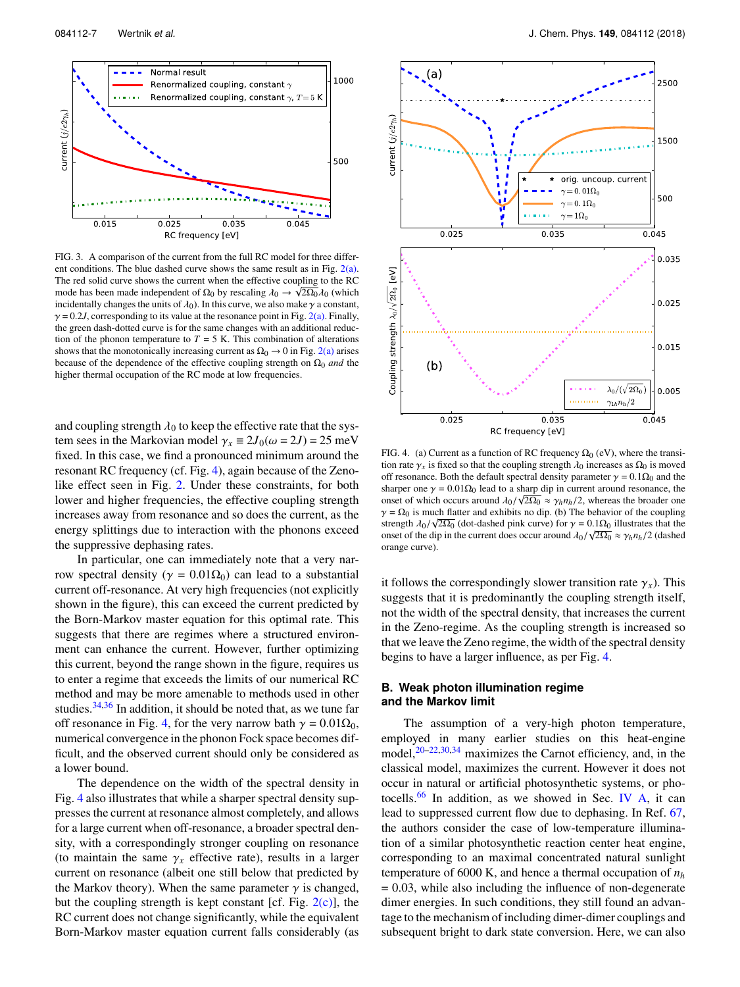<span id="page-6-1"></span>

FIG. 3. A comparison of the current from the full RC model for three different conditions. The blue dashed curve shows the same result as in Fig.  $2(a)$ . The red solid curve shows the current when the effective coupling to the RC mode has been made independent of  $\Omega_0$  by rescaling  $\lambda_0 \rightarrow \sqrt{2\Omega_0} \lambda_0$  (which incidentally changes the units of  $\lambda_0$ ). In this curve, we also make  $\chi_0$  constant incidentally changes the units of  $\lambda_0$ ). In this curve, we also make  $\gamma$  a constant,  $\gamma = 0.2J$ , corresponding to its value at the resonance point in Fig. [2\(a\).](#page-5-0) Finally, the green dash-dotted curve is for the same changes with an additional reduction of the phonon temperature to  $T = 5$  K. This combination of alterations shows that the monotonically increasing current as  $\Omega_0 \rightarrow 0$  in Fig. [2\(a\)](#page-5-0) arises because of the dependence of the effective coupling strength on Ω<sup>0</sup> *and* the higher thermal occupation of the RC mode at low frequencies.

and coupling strength  $\lambda_0$  to keep the effective rate that the system sees in the Markovian model  $\gamma_x \equiv 2J_0(\omega = 2J) = 25$  meV fixed. In this case, we find a pronounced minimum around the resonant RC frequency (cf. Fig. [4\)](#page-6-2), again because of the Zenolike effect seen in Fig. [2.](#page-5-0) Under these constraints, for both lower and higher frequencies, the effective coupling strength increases away from resonance and so does the current, as the energy splittings due to interaction with the phonons exceed the suppressive dephasing rates.

In particular, one can immediately note that a very narrow spectral density ( $\gamma = 0.01\Omega_0$ ) can lead to a substantial current off-resonance. At very high frequencies (not explicitly shown in the figure), this can exceed the current predicted by the Born-Markov master equation for this optimal rate. This suggests that there are regimes where a structured environment can enhance the current. However, further optimizing this current, beyond the range shown in the figure, requires us to enter a regime that exceeds the limits of our numerical RC method and may be more amenable to methods used in other studies.<sup>[34,](#page-10-19)[36](#page-10-0)</sup> In addition, it should be noted that, as we tune far off resonance in Fig. [4,](#page-6-2) for the very narrow bath  $\gamma = 0.01 \Omega_0$ , numerical convergence in the phonon Fock space becomes difficult, and the observed current should only be considered as a lower bound.

The dependence on the width of the spectral density in Fig. [4](#page-6-2) also illustrates that while a sharper spectral density suppresses the current at resonance almost completely, and allows for a large current when off-resonance, a broader spectral density, with a correspondingly stronger coupling on resonance (to maintain the same  $\gamma_x$  effective rate), results in a larger current on resonance (albeit one still below that predicted by the Markov theory). When the same parameter  $\gamma$  is changed, but the coupling strength is kept constant [cf. Fig.  $2(c)$ ], the RC current does not change significantly, while the equivalent Born-Markov master equation current falls considerably (as

<span id="page-6-2"></span>

FIG. 4. (a) Current as a function of RC frequency  $\Omega_0$  (eV), where the transition rate  $\gamma_x$  is fixed so that the coupling strength  $\lambda_0$  increases as  $\Omega_0$  is moved off resonance. Both the default spectral density parameter  $\gamma = 0.1 \Omega_0$  and the sharper one  $\gamma = 0.01 \Omega_0$  lead to a sharp dip in current around resonance, the oneset of which occurs around  $\lambda_0/\sqrt{2\Omega_0} \approx \gamma_0 n_0/2$ , whereas the broader one onset of which occurs around  $\lambda_0/\sqrt{2\Omega_0} \approx \gamma_h n_h/2$ , whereas the broader one  $\gamma = \Omega_0$  is much flatter and exhibits no din (b). The behavior of the coupling  $\gamma = \Omega_0$  is much flatter and exhibits no dip. (b) The behavior of the coupling<br>strength  $\lambda_0/\sqrt{2\Omega_0}$  (dot-dashed nink curve) for  $\gamma = 0.1\Omega_0$  illustrates that the strength  $\lambda_0/\sqrt{2\Omega_0}$  (dot-dashed pink curve) for  $\gamma = 0.1\Omega_0$  illustrates that the onset of the din in the current does occur around  $\lambda_0/\sqrt{2\Omega_0} \approx \gamma \mu_0/2$  (dashed onset of the dip in the current does occur around  $\lambda_0/\sqrt{2\Omega_0} \approx \gamma_h n_h/2$  (dashed orange curve) orange curve).

it follows the correspondingly slower transition rate  $\gamma_x$ ). This suggests that it is predominantly the coupling strength itself, not the width of the spectral density, that increases the current in the Zeno-regime. As the coupling strength is increased so that we leave the Zeno regime, the width of the spectral density begins to have a larger influence, as per Fig. [4.](#page-6-2)

# <span id="page-6-0"></span>**B. Weak photon illumination regime and the Markov limit**

The assumption of a very-high photon temperature, employed in many earlier studies on this heat-engine model, $20-22,30,34$  $20-22,30,34$  $20-22,30,34$  $20-22,30,34$  maximizes the Carnot efficiency, and, in the classical model, maximizes the current. However it does not occur in natural or artificial photosynthetic systems, or pho-tocells.<sup>[66](#page-10-30)</sup> In addition, as we showed in Sec. [IV A,](#page-4-1) it can lead to suppressed current flow due to dephasing. In Ref. [67,](#page-10-31) the authors consider the case of low-temperature illumination of a similar photosynthetic reaction center heat engine, corresponding to an maximal concentrated natural sunlight temperature of 6000 K, and hence a thermal occupation of *n<sup>h</sup>*  $= 0.03$ , while also including the influence of non-degenerate dimer energies. In such conditions, they still found an advantage to the mechanism of including dimer-dimer couplings and subsequent bright to dark state conversion. Here, we can also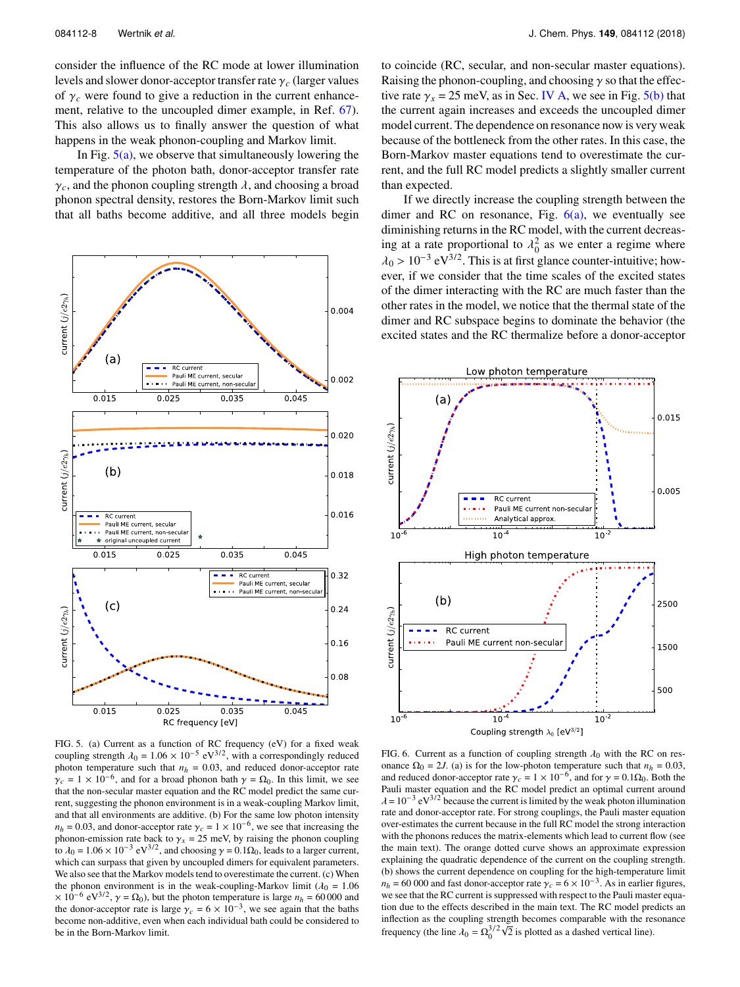084112-8 Wertnik *et al.* J. Chem. Phys. **149**, 084112 (2018)

consider the influence of the RC mode at lower illumination levels and slower donor-acceptor transfer rate <sup>γ</sup>*<sup>c</sup>* (larger values of  $\gamma_c$  were found to give a reduction in the current enhancement, relative to the uncoupled dimer example, in Ref. [67\)](#page-10-31). This also allows us to finally answer the question of what happens in the weak phonon-coupling and Markov limit.

In Fig.  $5(a)$ , we observe that simultaneously lowering the temperature of the photon bath, donor-acceptor transfer rate  $\gamma_c$ , and the phonon coupling strength  $\lambda$ , and choosing a broad phonon spectral density, restores the Born-Markov limit such that all baths become additive, and all three models begin

<span id="page-7-1"></span>

FIG. 5. (a) Current as a function of RC frequency (eV) for a fixed weak<br>coupling strength  $\lambda_0 = 1.06 \times 10^{-5} \text{ eV}^{3/2}$ , with a correspondingly reduced<br>photon temperature such that  $n_s = 0.03$  and reduced dopor-acceptor photon temperature such that  $n_h = 0.03$ , and reduced donor-acceptor rate  $\gamma_c = 1 \times 10^{-6}$ , and for a broad phonon bath  $\gamma = \Omega_0$ . In this limit, we see that the non-secular master equation and the RC model predict the same curthat the non-secular master equation and the RC model predict the same current, suggesting the phonon environment is in a weak-coupling Markov limit, and that all environments are additive. (b) For the same low photon intensity  $n_h = 0.03$ , and donor-acceptor rate  $\gamma_c = 1 \times 10^{-6}$ , we see that increasing the phonon-emission rate back to  $\gamma_c = 25$  meV by raising the phonon coupling phonon-emission rate back to  $\gamma_x = 25$  meV, by raising the phonon coupling<br>to  $\lambda_0 = 1.06 \times 10^{-3}$  eV<sup>3/2</sup>, and choosing  $\gamma = 0.1 \Omega_0$ , leads to a larger current,<br>which can surpass that given by uncoupled dimers for equi which can surpass that given by uncoupled dimers for equivalent parameters. We also see that the Markov models tend to overestimate the current. (c) When the phonon environment is in the weak-coupling-Markov limit ( $\lambda_0 = 1.06$ )  $\times 10^{-6}$  eV<sup>3/2</sup>,  $\gamma = \Omega_0$ ), but the photon temperature is large  $n_h = 60000$  and<br>the donor-gecentor rate is large  $\gamma_0 = 6 \times 10^{-3}$ , we see again that the baths the donor-acceptor rate is large  $\gamma_c = 6 \times 10^{-3}$ , we see again that the baths<br>become non-additive even when each individual bath could be considered to become non-additive, even when each individual bath could be considered to be in the Born-Markov limit.

to coincide (RC, secular, and non-secular master equations). Raising the phonon-coupling, and choosing  $\gamma$  so that the effective rate  $\gamma_x = 25$  meV, as in Sec. [IV A,](#page-4-1) we see in Fig. [5\(b\)](#page-7-1) that the current again increases and exceeds the uncoupled dimer model current. The dependence on resonance now is very weak because of the bottleneck from the other rates. In this case, the Born-Markov master equations tend to overestimate the current, and the full RC model predicts a slightly smaller current than expected.

If we directly increase the coupling strength between the dimer and RC on resonance, Fig.  $6(a)$ , we eventually see diminishing returns in the RC model, with the current decreasing at a rate proportional to  $\lambda_0^2$  as we enter a regime where  $\lambda \ge 10^{-3}$   $\frac{\Delta V^{3/2}}{2}$ . This is at first glange counter intuitive hours  $\lambda_0 > 10^{-3}$  eV<sup>3/2</sup>. This is at first glance counter-intuitive; how-<br>every if we consider that the time scales of the excited states ever, if we consider that the time scales of the excited states of the dimer interacting with the RC are much faster than the other rates in the model, we notice that the thermal state of the dimer and RC subspace begins to dominate the behavior (the excited states and the RC thermalize before a donor-acceptor

<span id="page-7-0"></span>

FIG. 6. Current as a function of coupling strength  $\lambda_0$  with the RC on resonance  $\Omega_0 = 2J$ . (a) is for the low-photon temperature such that  $n_h = 0.03$ , and reduced donor-acceptor rate  $\gamma_c = 1 \times 10^{-6}$ , and for  $\gamma = 0.1 \Omega_0$ . Both the Pauli master equation and the RC model predict an optimal current around Pauli master equation and the RC model predict an optimal current around  $\lambda = 10^{-3}$  eV<sup>3/2</sup> because the current is limited by the weak photon illumination<br>rate and donor-acceptor rate. For strong couplings, the Pauli master equation rate and donor-acceptor rate. For strong couplings, the Pauli master equation over-estimates the current because in the full RC model the strong interaction with the phonons reduces the matrix-elements which lead to current flow (see the main text). The orange dotted curve shows an approximate expression explaining the quadratic dependence of the current on the coupling strength. (b) shows the current dependence on coupling for the high-temperature limit  $n_h = 60,000$  and fast donor-acceptor rate  $\gamma_c = 6 \times 10^{-3}$ . As in earlier figures, we see that the RC current is suppressed with respect to the Pauli master equation due to the effects described in the main text. The RC model predicts an inflection as the coupling strength becomes comparable with the resonance frequency (the line  $\lambda_0 = \Omega_0^{3/2} \sqrt{2}$  is plotted as a dashed vertical line).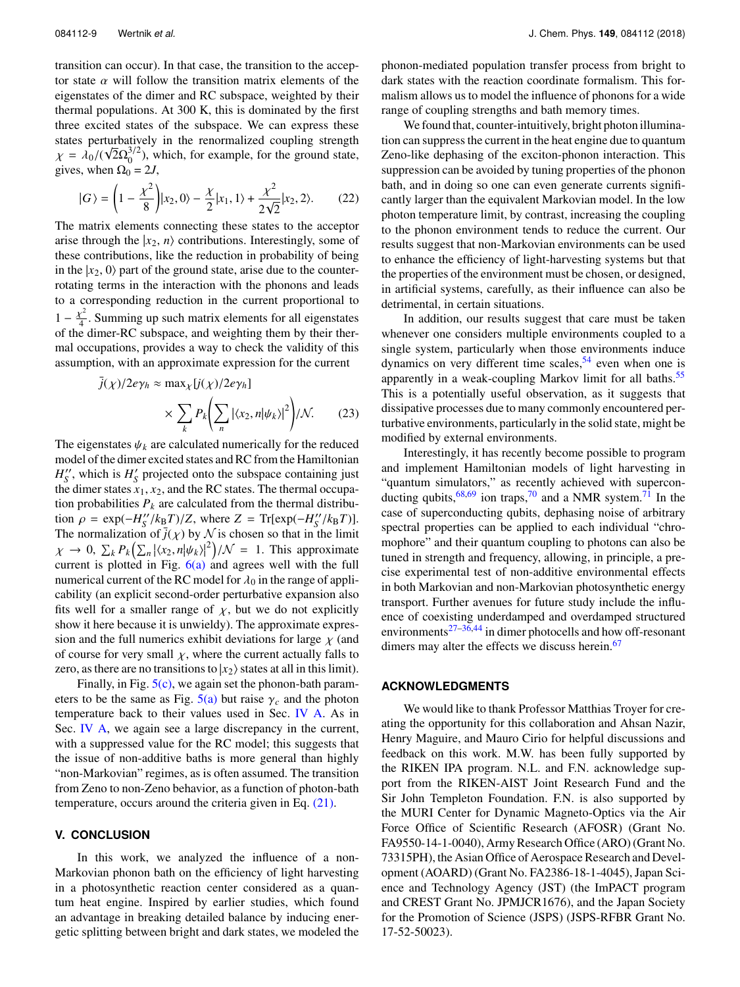transition can occur). In that case, the transition to the acceptor state  $\alpha$  will follow the transition matrix elements of the eigenstates of the dimer and RC subspace, weighted by their thermal populations. At 300 K, this is dominated by the first three excited states of the subspace. We can express these states perturbatively in the renormalized coupling strength  $\chi = \lambda_0 / (\sqrt{2} \Omega_0^{3/2})$ , which, for example, for the ground state, gives, when  $\Omega_0 = 2J$ ,

$$
|G\rangle = \left(1 - \frac{\chi^2}{8}\right) |x_2, 0\rangle - \frac{\chi}{2} |x_1, 1\rangle + \frac{\chi^2}{2\sqrt{2}} |x_2, 2\rangle. \tag{22}
$$

The matrix elements connecting these states to the acceptor arise through the  $|x_2, n\rangle$  contributions. Interestingly, some of these contributions, like the reduction in probability of being in the  $|x_2, 0\rangle$  part of the ground state, arise due to the counterrotating terms in the interaction with the phonons and leads to a corresponding reduction in the current proportional to  $1 - \frac{\chi^2}{4}$  $\frac{1}{4}$ . Summing up such matrix elements for all eigenstates of the dimer-RC subspace, and weighting them by their thermal occupations, provides a way to check the validity of this assumption, with an approximate expression for the current

$$
\bar{j}(\chi)/2e\gamma_h \approx \max_{\chi} [j(\chi)/2e\gamma_h]
$$

$$
\times \sum_{k} P_k \left( \sum_{n} |\langle x_2, n | \psi_k \rangle|^2 \right) / \mathcal{N}.
$$
 (23)

The eigenstates  $\psi_k$  are calculated numerically for the reduced model of the dimer excited states and RC from the Hamiltonian  $H_S''$ , which is  $H_S'$  projected onto the subspace containing just the dimer states  $x_1, x_2$ , and the RC states. The thermal occupation probabilities  $P_k$  are calculated from the thermal distribution  $\rho = \exp(-H_S''/k_B T)/Z$ , where  $Z = \text{Tr}[\exp(-H_S''/k_B T)]$ .<br>The normalization of  $\vec{i}(\nu)$  by  $\Delta$  is chosen so that in the limit The normalization of  $\bar{j}(\chi)$  by  $\mathcal N$  is chosen so that in the limit  $\chi \to 0$ ,  $\sum_{k} P_{k} (\sum_{n} | \langle x_2, n | \psi_k \rangle |^2) / \mathcal{N} = 1$ . This approximate current is plotted in Fig.  $6(a)$  and agrees well with the full numerical current of the RC model for  $\lambda_0$  in the range of applicability (an explicit second-order perturbative expansion also fits well for a smaller range of  $\chi$ , but we do not explicitly show it here because it is unwieldy). The approximate expression and the full numerics exhibit deviations for large  $\chi$  (and of course for very small  $\chi$ , where the current actually falls to zero, as there are no transitions to  $|x_2\rangle$  states at all in this limit).

Finally, in Fig.  $5(c)$ , we again set the phonon-bath parameters to be the same as Fig.  $5(a)$  but raise  $\gamma_c$  and the photon temperature back to their values used in Sec. [IV A.](#page-4-1) As in Sec. [IV A,](#page-4-1) we again see a large discrepancy in the current, with a suppressed value for the RC model; this suggests that the issue of non-additive baths is more general than highly "non-Markovian" regimes, as is often assumed. The transition from Zeno to non-Zeno behavior, as a function of photon-bath temperature, occurs around the criteria given in Eq. [\(21\).](#page-5-1)

## <span id="page-8-0"></span>**V. CONCLUSION**

In this work, we analyzed the influence of a non-Markovian phonon bath on the efficiency of light harvesting in a photosynthetic reaction center considered as a quantum heat engine. Inspired by earlier studies, which found an advantage in breaking detailed balance by inducing energetic splitting between bright and dark states, we modeled the phonon-mediated population transfer process from bright to dark states with the reaction coordinate formalism. This formalism allows us to model the influence of phonons for a wide range of coupling strengths and bath memory times.

We found that, counter-intuitively, bright photon illumination can suppress the current in the heat engine due to quantum Zeno-like dephasing of the exciton-phonon interaction. This suppression can be avoided by tuning properties of the phonon bath, and in doing so one can even generate currents significantly larger than the equivalent Markovian model. In the low photon temperature limit, by contrast, increasing the coupling to the phonon environment tends to reduce the current. Our results suggest that non-Markovian environments can be used to enhance the efficiency of light-harvesting systems but that the properties of the environment must be chosen, or designed, in artificial systems, carefully, as their influence can also be detrimental, in certain situations.

In addition, our results suggest that care must be taken whenever one considers multiple environments coupled to a single system, particularly when those environments induce dynamics on very different time scales,  $54$  even when one is apparently in a weak-coupling Markov limit for all baths.<sup>[55](#page-10-16)</sup> This is a potentially useful observation, as it suggests that dissipative processes due to many commonly encountered perturbative environments, particularly in the solid state, might be modified by external environments.

Interestingly, it has recently become possible to program and implement Hamiltonian models of light harvesting in "quantum simulators," as recently achieved with superconducting qubits,  $68,69$  $68,69$  ion traps,  $70$  and a NMR system.  $71$  In the case of superconducting qubits, dephasing noise of arbitrary spectral properties can be applied to each individual "chromophore" and their quantum coupling to photons can also be tuned in strength and frequency, allowing, in principle, a precise experimental test of non-additive environmental effects in both Markovian and non-Markovian photosynthetic energy transport. Further avenues for future study include the influence of coexisting underdamped and overdamped structured environments<sup>[27](#page-9-17)[–36](#page-10-0)[,44](#page-10-9)</sup> in dimer photocells and how off-resonant dimers may alter the effects we discuss herein. $67$ 

# **ACKNOWLEDGMENTS**

We would like to thank Professor Matthias Troyer for creating the opportunity for this collaboration and Ahsan Nazir, Henry Maguire, and Mauro Cirio for helpful discussions and feedback on this work. M.W. has been fully supported by the RIKEN IPA program. N.L. and F.N. acknowledge support from the RIKEN-AIST Joint Research Fund and the Sir John Templeton Foundation. F.N. is also supported by the MURI Center for Dynamic Magneto-Optics via the Air Force Office of Scientific Research (AFOSR) (Grant No. FA9550-14-1-0040), Army Research Office (ARO) (Grant No. 73315PH), the Asian Office of Aerospace Research and Development (AOARD) (Grant No. FA2386-18-1-4045), Japan Science and Technology Agency (JST) (the ImPACT program and CREST Grant No. JPMJCR1676), and the Japan Society for the Promotion of Science (JSPS) (JSPS-RFBR Grant No. 17-52-50023).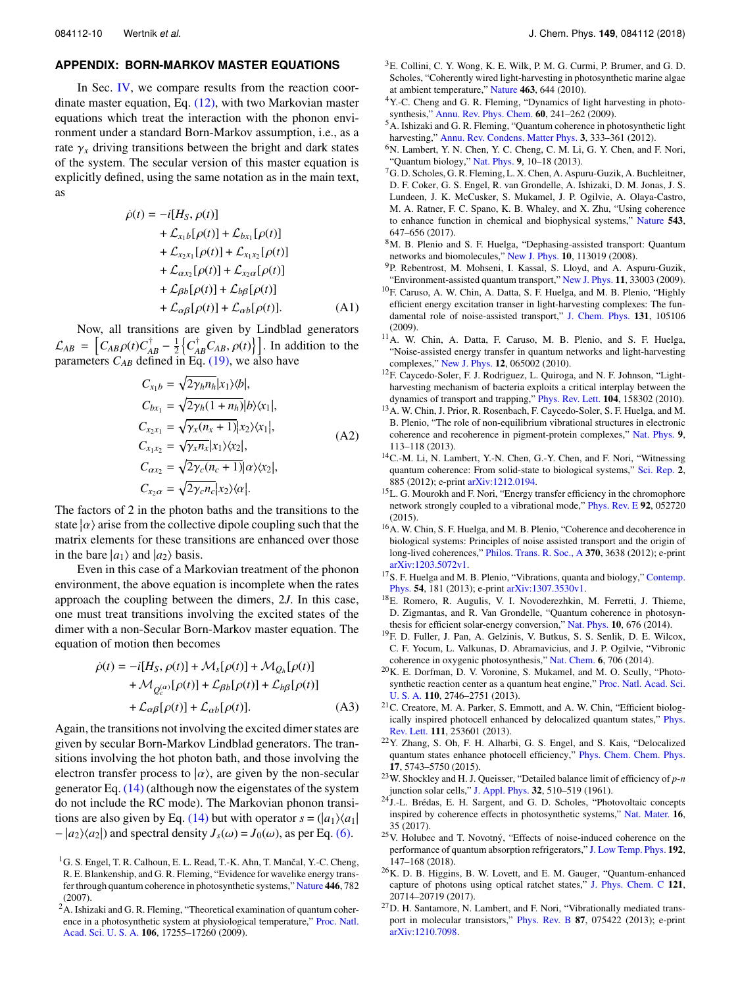#### <span id="page-9-19"></span>**APPENDIX: BORN-MARKOV MASTER EQUATIONS**

In Sec. [IV,](#page-4-0) we compare results from the reaction coordinate master equation, Eq. [\(12\),](#page-4-2) with two Markovian master equations which treat the interaction with the phonon environment under a standard Born-Markov assumption, i.e., as a rate  $\gamma_x$  driving transitions between the bright and dark states of the system. The secular version of this master equation is explicitly defined, using the same notation as in the main text, as

$$
\dot{\rho}(t) = -i[H_S, \rho(t)]
$$
  
+  $\mathcal{L}_{x_1b}[\rho(t)] + \mathcal{L}_{bx_1}[\rho(t)]$   
+  $\mathcal{L}_{x_2x_1}[\rho(t)] + \mathcal{L}_{x_1x_2}[\rho(t)]$   
+  $\mathcal{L}_{ax_2}[\rho(t)] + \mathcal{L}_{x_2a}[\rho(t)]$   
+  $\mathcal{L}_{\beta b}[\rho(t)] + \mathcal{L}_{b\beta}[\rho(t)]$   
+  $\mathcal{L}_{\alpha\beta}[\rho(t)] + \mathcal{L}_{\alpha b}[\rho(t)].$  (A1)

Now, all transitions are given by Lindblad generators  $\mathcal{L}_{AB} = \left[ C_{AB} \rho(t) C_{AB}^{\dagger} - \frac{1}{2} \left\{ C_{AB}^{\dagger} C_{AB}, \rho(t) \right\} \right]$ . In addition to the parameters  $C_{AB}$  defined in Eq. [\(19\),](#page-4-3) we also have

$$
C_{x_1b} = \sqrt{2\gamma_h n_h}|x_1\rangle\langle b|,
$$
  
\n
$$
C_{bx_1} = \sqrt{2\gamma_h (1 + n_h)}|b\rangle\langle x_1|,
$$
  
\n
$$
C_{x_2x_1} = \sqrt{\gamma_x (n_x + 1)}|x_2\rangle\langle x_1|,
$$
  
\n
$$
C_{x_1x_2} = \sqrt{\gamma_x n_x}|x_1\rangle\langle x_2|,
$$
  
\n
$$
C_{\alpha x_2} = \sqrt{2\gamma_c (n_c + 1)}|\alpha\rangle\langle x_2|,
$$
  
\n
$$
C_{x_2\alpha} = \sqrt{2\gamma_c n_c}|x_2\rangle\langle \alpha|.
$$
\n(A2)

The factors of 2 in the photon baths and the transitions to the state  $|\alpha\rangle$  arise from the collective dipole coupling such that the matrix elements for these transitions are enhanced over those matrix elements for these transitions are enhanced over those in the bare  $|a_1\rangle$  and  $|a_2\rangle$  basis.

Even in this case of a Markovian treatment of the phonon environment, the above equation is incomplete when the rates approach the coupling between the dimers, 2*J*. In this case, one must treat transitions involving the excited states of the dimer with a non-Secular Born-Markov master equation. The equation of motion then becomes

$$
\dot{\rho}(t) = -i[H_S, \rho(t)] + \mathcal{M}_s[\rho(t)] + \mathcal{M}_{Q_h}[ \rho(t)]
$$

$$
+ \mathcal{M}_{Q_c^{(\alpha)}}[\rho(t)] + \mathcal{L}_{\beta b}[\rho(t)] + \mathcal{L}_{b\beta}[\rho(t)]
$$

$$
+ \mathcal{L}_{\alpha\beta}[\rho(t)] + \mathcal{L}_{\alpha b}[\rho(t)]. \tag{A3}
$$

Again, the transitions not involving the excited dimer states are given by secular Born-Markov Lindblad generators. The transitions involving the hot photon bath, and those involving the electron transfer process to  $\alpha$ ), are given by the non-secular generator Eq. (14) (although now the eigenstates of the system generator Eq.  $(14)$  (although now the eigenstates of the system do not include the RC mode). The Markovian phonon transi-tions are also given by Eq. [\(14\)](#page-4-4) but with operator  $s = (|a_1\rangle\langle a_1|)$  $- |a_2\rangle\langle a_2|$  and spectral density  $J_s(\omega) = J_0(\omega)$ , as per Eq. [\(6\).](#page-3-0)

- <span id="page-9-6"></span><sup>3</sup>E. Collini, C. Y. Wong, K. E. Wilk, P. M. G. Curmi, P. Brumer, and G. D. Scholes, "Coherently wired light-harvesting in photosynthetic marine algae at ambient temperature," [Nature](https://doi.org/10.1038/nature08811) **463**, 644 (2010).
- <sup>4</sup>Y.-C. Cheng and G. R. Fleming, "Dynamics of light harvesting in photosynthesis," [Annu. Rev. Phys. Chem.](https://doi.org/10.1146/annurev.physchem.040808.090259) **60**, 241–262 (2009).
- <sup>5</sup>A. Ishizaki and G. R. Fleming, "Quantum coherence in photosynthetic light harvesting," [Annu. Rev. Condens. Matter Phys.](https://doi.org/10.1146/annurev-conmatphys-020911-125126) **3**, 333–361 (2012).
- <span id="page-9-7"></span><sup>6</sup>N. Lambert, Y. N. Chen, Y. C. Cheng, C. M. Li, G. Y. Chen, and F. Nori, "Quantum biology," [Nat. Phys.](https://doi.org/10.1038/nphys2474) **9**, 10–18 (2013).
- <span id="page-9-1"></span><sup>7</sup>G. D. Scholes, G. R. Fleming, L. X. Chen, A. Aspuru-Guzik, A. Buchleitner, D. F. Coker, G. S. Engel, R. van Grondelle, A. Ishizaki, D. M. Jonas, J. S. Lundeen, J. K. McCusker, S. Mukamel, J. P. Ogilvie, A. Olaya-Castro, M. A. Ratner, F. C. Spano, K. B. Whaley, and X. Zhu, "Using coherence to enhance function in chemical and biophysical systems," [Nature](https://doi.org/10.1038/nature21425) **543**, 647–656 (2017).
- <span id="page-9-2"></span><sup>8</sup>M. B. Plenio and S. F. Huelga, "Dephasing-assisted transport: Quantum networks and biomolecules," [New J. Phys.](https://doi.org/10.1088/1367-2630/10/11/113019) **10**, 113019 (2008).
- <sup>9</sup>P. Rebentrost, M. Mohseni, I. Kassal, S. Lloyd, and A. Aspuru-Guzik, "Environment-assisted quantum transport," [New J. Phys.](https://doi.org/10.1088/1367-2630/11/3/033003) **11**, 33003 (2009).
- <span id="page-9-20"></span><sup>10</sup>F. Caruso, A. W. Chin, A. Datta, S. F. Huelga, and M. B. Plenio, "Highly efficient energy excitation transer in light-harvesting complexes: The fundamental role of noise-assisted transport," [J. Chem. Phys.](https://doi.org/10.1063/1.3223548) **131**, 105106 (2009).
- <sup>11</sup>A. W. Chin, A. Datta, F. Caruso, M. B. Plenio, and S. F. Huelga, "Noise-assisted energy transfer in quantum networks and light-harvesting complexes," [New J. Phys.](https://doi.org/10.1088/1367-2630/12/6/065002) **12**, 065002 (2010).
- <sup>12</sup>F. Caycedo-Soler, F. J. Rodriguez, L. Quiroga, and N. F. Johnson, "Lightharvesting mechanism of bacteria exploits a critical interplay between the dynamics of transport and trapping," [Phys. Rev. Lett.](https://doi.org/10.1103/physrevlett.104.158302) **104**, 158302 (2010).
- <sup>13</sup>A. W. Chin, J. Prior, R. Rosenbach, F. Caycedo-Soler, S. F. Huelga, and M. B. Plenio, "The role of non-equilibrium vibrational structures in electronic coherence and recoherence in pigment-protein complexes," [Nat. Phys.](https://doi.org/10.1038/nphys2515) **9**, 113–118 (2013).
- <sup>14</sup>C.-M. Li, N. Lambert, Y.-N. Chen, G.-Y. Chen, and F. Nori, "Witnessing quantum coherence: From solid-state to biological systems," [Sci. Rep.](https://doi.org/10.1038/srep00885) **2**, 885 (2012); e-print [arXiv:1212.0194.](http://arxiv.org/abs/1212.0194)
- <span id="page-9-3"></span><sup>15</sup>L. G. Mourokh and F. Nori, "Energy transfer efficiency in the chromophore network strongly coupled to a vibrational mode," [Phys. Rev. E](https://doi.org/10.1103/physreve.92.052720) **92**, 052720 (2015).
- <span id="page-9-4"></span><sup>16</sup>A. W. Chin, S. F. Huelga, and M. B. Plenio, "Coherence and decoherence in biological systems: Principles of noise assisted transport and the origin of long-lived coherences," [Philos. Trans. R. Soc., A](https://doi.org/10.1098/rsta.2011.0224) **370**, 3638 (2012); e-print [arXiv:1203.5072v1.](http://arxiv.org/abs/1203.5072v1)
- <span id="page-9-5"></span><sup>17</sup>S. F. Huelga and M. B. Plenio, "Vibrations, quanta and biology," [Contemp.](https://doi.org/10.1080/00405000.2013.829687) [Phys.](https://doi.org/10.1080/00405000.2013.829687) **54**, 181 (2013); e-print [arXiv:1307.3530v1.](http://arxiv.org/abs/1307.3530v1)
- <span id="page-9-8"></span><sup>18</sup>E. Romero, R. Augulis, V. I. Novoderezhkin, M. Ferretti, J. Thieme, D. Zigmantas, and R. Van Grondelle, "Quantum coherence in photosynthesis for efficient solar-energy conversion," [Nat. Phys.](https://doi.org/10.1038/nphys3017) **10**, 676 (2014).
- <span id="page-9-9"></span><sup>19</sup>F. D. Fuller, J. Pan, A. Gelzinis, V. Butkus, S. S. Senlik, D. E. Wilcox, C. F. Yocum, L. Valkunas, D. Abramavicius, and J. P. Ogilvie, "Vibronic coherence in oxygenic photosynthesis," [Nat. Chem.](https://doi.org/10.1038/nchem.2005) **6**, 706 (2014).
- <span id="page-9-10"></span><sup>20</sup>K. E. Dorfman, D. V. Voronine, S. Mukamel, and M. O. Scully, "Photosynthetic reaction center as a quantum heat engine," [Proc. Natl. Acad. Sci.](https://doi.org/10.1073/pnas.1212666110) [U. S. A.](https://doi.org/10.1073/pnas.1212666110) **110**, 2746–2751 (2013).
- <span id="page-9-21"></span><span id="page-9-14"></span><sup>21</sup>C. Creatore, M. A. Parker, S. Emmott, and A. W. Chin, "Efficient biologically inspired photocell enhanced by delocalized quantum states," [Phys.](https://doi.org/10.1103/physrevlett.111.253601) [Rev. Lett.](https://doi.org/10.1103/physrevlett.111.253601) **111**, 253601 (2013).
- <span id="page-9-11"></span><sup>22</sup>Y. Zhang, S. Oh, F. H. Alharbi, G. S. Engel, and S. Kais, "Delocalized quantum states enhance photocell efficiency," [Phys. Chem. Chem. Phys.](https://doi.org/10.1039/c4cp05310a) **17**, 5743–5750 (2015).
- <span id="page-9-12"></span><sup>23</sup>W. Shockley and H. J. Queisser, "Detailed balance limit of efficiency of *p*-*n* junction solar cells," [J. Appl. Phys.](https://doi.org/10.1063/1.1736034) **32**, 510–519 (1961).
- <span id="page-9-13"></span><sup>24</sup>J.-L. Brédas, E. H. Sargent, and G. D. Scholes, "Photovoltaic concepts inspired by coherence effects in photosynthetic systems," [Nat. Mater.](https://doi.org/10.1038/nmat4767) **16**, 35 (2017).
- <span id="page-9-15"></span> $25$ V. Holubec and T. Novotný, "Effects of noise-induced coherence on the performance of quantum absorption refrigerators," [J. Low Temp. Phys.](https://doi.org/10.1007/s10909-018-1960-x) **192**, 147–168 (2018).
- <span id="page-9-16"></span><sup>26</sup>K. D. B. Higgins, B. W. Lovett, and E. M. Gauger, "Quantum-enhanced capture of photons using optical ratchet states," [J. Phys. Chem. C](https://doi.org/10.1021/acs.jpcc.7b07138) **121**, 20714–20719 (2017).
- <span id="page-9-17"></span><sup>27</sup>D. H. Santamore, N. Lambert, and F. Nori, "Vibrationally mediated transport in molecular transistors," [Phys. Rev. B](https://doi.org/10.1103/physrevb.87.075422) **87**, 075422 (2013); e-print [arXiv:1210.7098.](http://arxiv.org/abs/1210.7098)

<span id="page-9-0"></span><sup>&</sup>lt;sup>1</sup>G. S. Engel, T. R. Calhoun, E. L. Read, T.-K. Ahn, T. Mančal, Y.-C. Cheng, R. E. Blankenship, and G. R. Fleming, "Evidence for wavelike energy transfer through quantum coherence in photosynthetic systems," [Nature](https://doi.org/10.1038/nature05678) **446**, 782 (2007).

<span id="page-9-18"></span> $2A$ . Ishizaki and G. R. Fleming, "Theoretical examination of quantum coherence in a photosynthetic system at physiological temperature," [Proc. Natl.](https://doi.org/10.1073/pnas.0908989106) [Acad. Sci. U. S. A.](https://doi.org/10.1073/pnas.0908989106) **106**, 17255–17260 (2009).